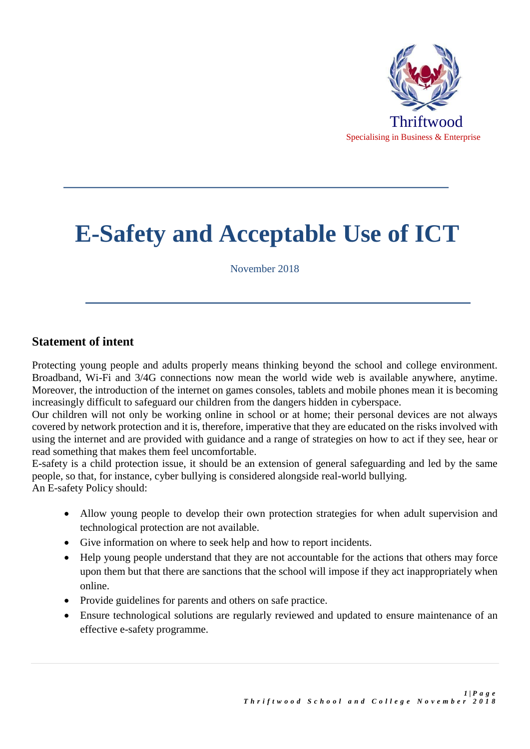

# **E-Safety and Acceptable Use of ICT**

November 2018

## **Statement of intent**

Protecting young people and adults properly means thinking beyond the school and college environment. Broadband, Wi-Fi and 3/4G connections now mean the world wide web is available anywhere, anytime. Moreover, the introduction of the internet on games consoles, tablets and mobile phones mean it is becoming increasingly difficult to safeguard our children from the dangers hidden in cyberspace.

Our children will not only be working online in school or at home; their personal devices are not always covered by network protection and it is, therefore, imperative that they are educated on the risks involved with using the internet and are provided with guidance and a range of strategies on how to act if they see, hear or read something that makes them feel uncomfortable.

E-safety is a child protection issue, it should be an extension of general safeguarding and led by the same people, so that, for instance, cyber bullying is considered alongside real-world bullying. An E-safety Policy should:

- Allow young people to develop their own protection strategies for when adult supervision and technological protection are not available.
- Give information on where to seek help and how to report incidents.
- Help young people understand that they are not accountable for the actions that others may force upon them but that there are sanctions that the school will impose if they act inappropriately when online.
- Provide guidelines for parents and others on safe practice.
- Ensure technological solutions are regularly reviewed and updated to ensure maintenance of an effective e-safety programme.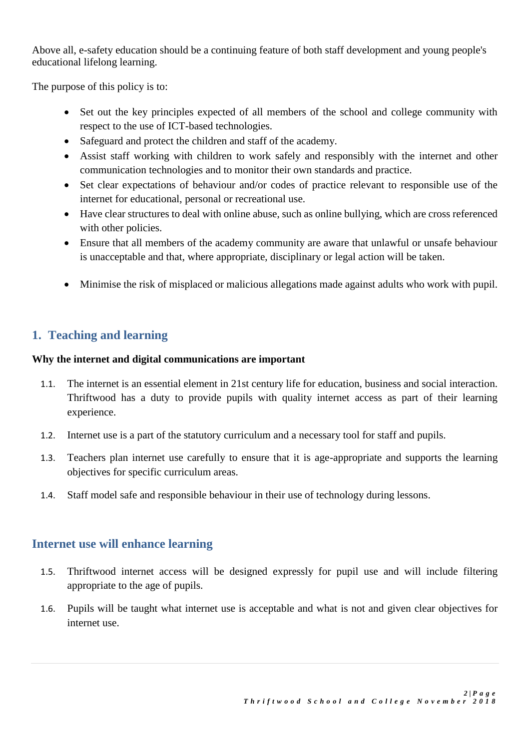Above all, e-safety education should be a continuing feature of both staff development and young people's educational lifelong learning.

The purpose of this policy is to:

- Set out the key principles expected of all members of the school and college community with respect to the use of ICT-based technologies.
- Safeguard and protect the children and staff of the academy.
- Assist staff working with children to work safely and responsibly with the internet and other communication technologies and to monitor their own standards and practice.
- Set clear expectations of behaviour and/or codes of practice relevant to responsible use of the internet for educational, personal or recreational use.
- Have clear structures to deal with online abuse, such as online bullying, which are cross referenced with other policies.
- Ensure that all members of the academy community are aware that unlawful or unsafe behaviour is unacceptable and that, where appropriate, disciplinary or legal action will be taken.
- Minimise the risk of misplaced or malicious allegations made against adults who work with pupil.

# **1. Teaching and learning**

### **Why the internet and digital communications are important**

- 1.1. The internet is an essential element in 21st century life for education, business and social interaction. Thriftwood has a duty to provide pupils with quality internet access as part of their learning experience.
- 1.2. Internet use is a part of the statutory curriculum and a necessary tool for staff and pupils.
- 1.3. Teachers plan internet use carefully to ensure that it is age-appropriate and supports the learning objectives for specific curriculum areas.
- 1.4. Staff model safe and responsible behaviour in their use of technology during lessons.

# **Internet use will enhance learning**

- 1.5. Thriftwood internet access will be designed expressly for pupil use and will include filtering appropriate to the age of pupils.
- 1.6. Pupils will be taught what internet use is acceptable and what is not and given clear objectives for internet use.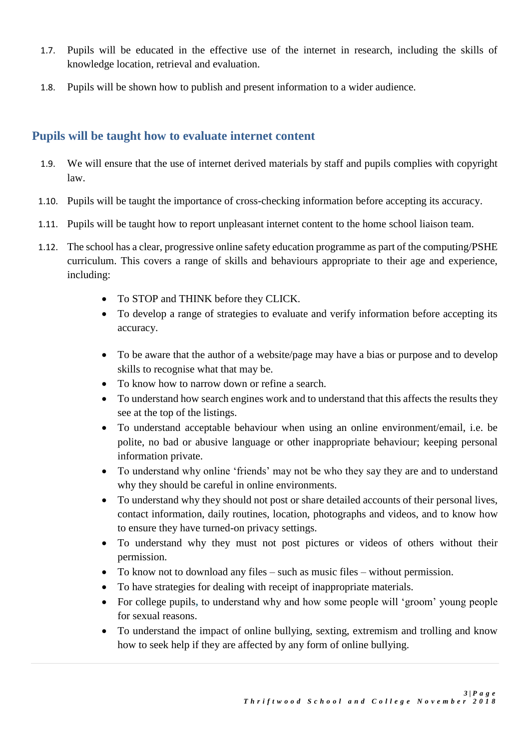- 1.7. Pupils will be educated in the effective use of the internet in research, including the skills of knowledge location, retrieval and evaluation.
- 1.8. Pupils will be shown how to publish and present information to a wider audience.

# **Pupils will be taught how to evaluate internet content**

- 1.9. We will ensure that the use of internet derived materials by staff and pupils complies with copyright law.
- 1.10. Pupils will be taught the importance of cross-checking information before accepting its accuracy.
- 1.11. Pupils will be taught how to report unpleasant internet content to the home school liaison team.
- 1.12. The school has a clear, progressive online safety education programme as part of the computing/PSHE curriculum. This covers a range of skills and behaviours appropriate to their age and experience, including:
	- To STOP and THINK before they CLICK.
	- To develop a range of strategies to evaluate and verify information before accepting its accuracy.
	- To be aware that the author of a website/page may have a bias or purpose and to develop skills to recognise what that may be.
	- To know how to narrow down or refine a search.
	- To understand how search engines work and to understand that this affects the results they see at the top of the listings.
	- To understand acceptable behaviour when using an online environment/email, i.e. be polite, no bad or abusive language or other inappropriate behaviour; keeping personal information private.
	- To understand why online 'friends' may not be who they say they are and to understand why they should be careful in online environments.
	- To understand why they should not post or share detailed accounts of their personal lives, contact information, daily routines, location, photographs and videos, and to know how to ensure they have turned-on privacy settings.
	- To understand why they must not post pictures or videos of others without their permission.
	- To know not to download any files such as music files without permission.
	- To have strategies for dealing with receipt of inappropriate materials.
	- For college pupils**,** to understand why and how some people will 'groom' young people for sexual reasons.
	- To understand the impact of online bullying, sexting, extremism and trolling and know how to seek help if they are affected by any form of online bullying.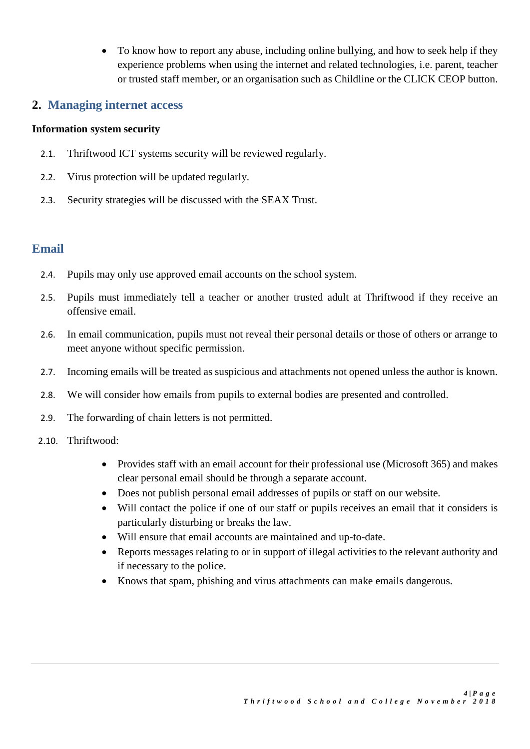• To know how to report any abuse, including online bullying, and how to seek help if they experience problems when using the internet and related technologies, i.e. parent, teacher or trusted staff member, or an organisation such as Childline or the CLICK CEOP button.

## **2. Managing internet access**

### **Information system security**

- 2.1. Thriftwood ICT systems security will be reviewed regularly.
- 2.2. Virus protection will be updated regularly.
- 2.3. Security strategies will be discussed with the SEAX Trust.

## **Email**

- 2.4. Pupils may only use approved email accounts on the school system.
- 2.5. Pupils must immediately tell a teacher or another trusted adult at Thriftwood if they receive an offensive email.
- 2.6. In email communication, pupils must not reveal their personal details or those of others or arrange to meet anyone without specific permission.
- 2.7. Incoming emails will be treated as suspicious and attachments not opened unless the author is known.
- 2.8. We will consider how emails from pupils to external bodies are presented and controlled.
- 2.9. The forwarding of chain letters is not permitted.
- 2.10. Thriftwood:
	- Provides staff with an email account for their professional use (Microsoft 365) and makes clear personal email should be through a separate account.
	- Does not publish personal email addresses of pupils or staff on our website.
	- Will contact the police if one of our staff or pupils receives an email that it considers is particularly disturbing or breaks the law.
	- Will ensure that email accounts are maintained and up-to-date.
	- Reports messages relating to or in support of illegal activities to the relevant authority and if necessary to the police.
	- Knows that spam, phishing and virus attachments can make emails dangerous.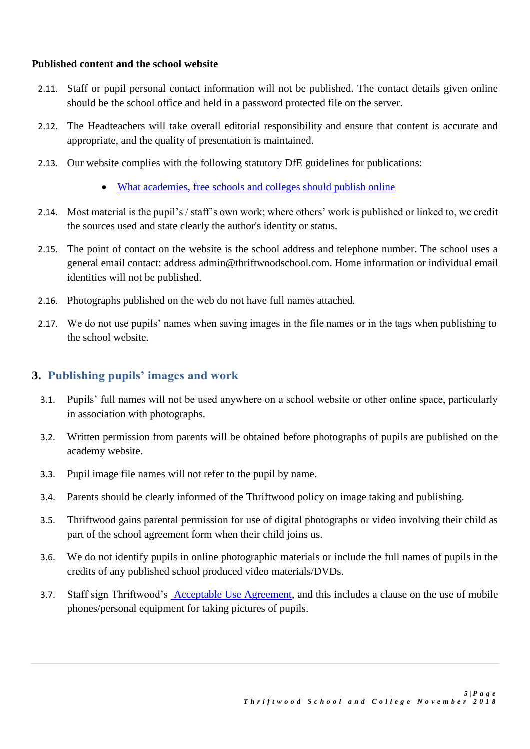#### **Published content and the school website**

- 2.11. Staff or pupil personal contact information will not be published. The contact details given online should be the school office and held in a password protected file on the server.
- 2.12. The Headteachers will take overall editorial responsibility and ensure that content is accurate and appropriate, and the quality of presentation is maintained.
- 2.13. Our website complies with the following statutory DfE guidelines for publications:
	- [What academies, free schools and colleges should publish online](https://www.gov.uk/guidance/what-academies-free-schools-and-colleges-should-publish-online)
- 2.14. Most material is the pupil's / staff's own work; where others' work is published or linked to, we credit the sources used and state clearly the author's identity or status.
- 2.15. The point of contact on the website is the school address and telephone number. The school uses a general email contact: address admin@thriftwoodschool.com. Home information or individual email identities will not be published.
- 2.16. Photographs published on the web do not have full names attached.
- 2.17. We do not use pupils' names when saving images in the file names or in the tags when publishing to the school website.

## **3. Publishing pupils' images and work**

- 3.1. Pupils' full names will not be used anywhere on a school website or other online space, particularly in association with photographs.
- 3.2. Written permission from parents will be obtained before photographs of pupils are published on the academy website.
- 3.3. Pupil image file names will not refer to the pupil by name.
- 3.4. Parents should be clearly informed of the Thriftwood policy on image taking and publishing.
- 3.5. Thriftwood gains parental permission for use of digital photographs or video involving their child as part of the school agreement form when their child joins us.
- 3.6. We do not identify pupils in online photographic materials or include the full names of pupils in the credits of any published school produced video materials/DVDs.
- 3.7. Staff sign Thriftwood's Acceptable Use Agreement, and this includes a clause on the use of mobile phones/personal equipment for taking pictures of pupils.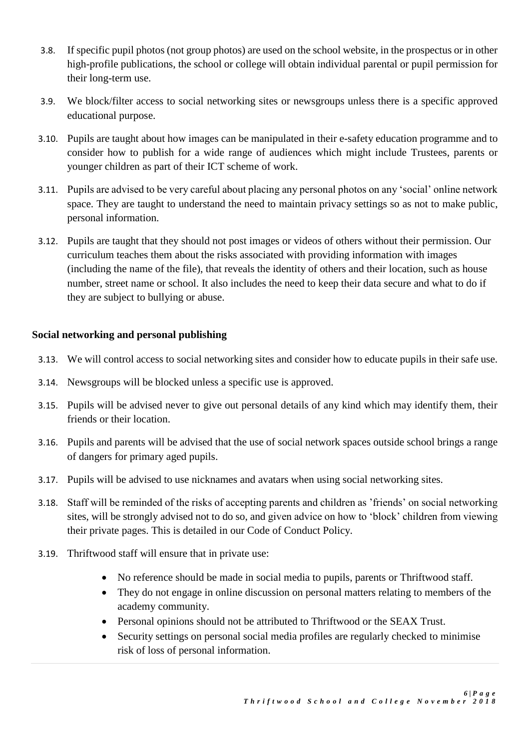- 3.8. If specific pupil photos (not group photos) are used on the school website, in the prospectus or in other high-profile publications, the school or college will obtain individual parental or pupil permission for their long-term use.
- 3.9. We block/filter access to social networking sites or newsgroups unless there is a specific approved educational purpose.
- 3.10. Pupils are taught about how images can be manipulated in their e-safety education programme and to consider how to publish for a wide range of audiences which might include Trustees, parents or younger children as part of their ICT scheme of work.
- 3.11. Pupils are advised to be very careful about placing any personal photos on any 'social' online network space. They are taught to understand the need to maintain privacy settings so as not to make public, personal information.
- 3.12. Pupils are taught that they should not post images or videos of others without their permission. Our curriculum teaches them about the risks associated with providing information with images (including the name of the file), that reveals the identity of others and their location, such as house number, street name or school. It also includes the need to keep their data secure and what to do if they are subject to bullying or abuse.

### **Social networking and personal publishing**

- 3.13. We will control access to social networking sites and consider how to educate pupils in their safe use.
- 3.14. Newsgroups will be blocked unless a specific use is approved.
- 3.15. Pupils will be advised never to give out personal details of any kind which may identify them, their friends or their location.
- 3.16. Pupils and parents will be advised that the use of social network spaces outside school brings a range of dangers for primary aged pupils.
- 3.17. Pupils will be advised to use nicknames and avatars when using social networking sites.
- 3.18. Staff will be reminded of the risks of accepting parents and children as 'friends' on social networking sites, will be strongly advised not to do so, and given advice on how to 'block' children from viewing their private pages. This is detailed in our Code of Conduct Policy.
- 3.19. Thriftwood staff will ensure that in private use:
	- No reference should be made in social media to pupils, parents or Thriftwood staff.
	- They do not engage in online discussion on personal matters relating to members of the academy community.
	- Personal opinions should not be attributed to Thriftwood or the SEAX Trust.
	- Security settings on personal social media profiles are regularly checked to minimise risk of loss of personal information.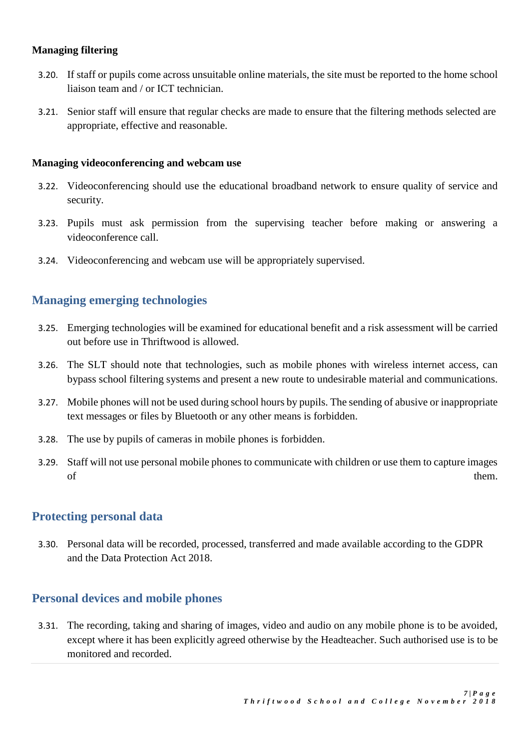#### **Managing filtering**

- 3.20. If staff or pupils come across unsuitable online materials, the site must be reported to the home school liaison team and / or ICT technician.
- 3.21. Senior staff will ensure that regular checks are made to ensure that the filtering methods selected are appropriate, effective and reasonable.

#### **Managing videoconferencing and webcam use**

- 3.22. Videoconferencing should use the educational broadband network to ensure quality of service and security.
- 3.23. Pupils must ask permission from the supervising teacher before making or answering a videoconference call.
- 3.24. Videoconferencing and webcam use will be appropriately supervised.

## **Managing emerging technologies**

- 3.25. Emerging technologies will be examined for educational benefit and a risk assessment will be carried out before use in Thriftwood is allowed.
- 3.26. The SLT should note that technologies, such as mobile phones with wireless internet access, can bypass school filtering systems and present a new route to undesirable material and communications.
- 3.27. Mobile phones will not be used during school hours by pupils. The sending of abusive or inappropriate text messages or files by Bluetooth or any other means is forbidden.
- 3.28. The use by pupils of cameras in mobile phones is forbidden.
- 3.29. Staff will not use personal mobile phones to communicate with children or use them to capture images of them.

## **Protecting personal data**

3.30. Personal data will be recorded, processed, transferred and made available according to the GDPR and the Data Protection Act 2018.

## **Personal devices and mobile phones**

3.31. The recording, taking and sharing of images, video and audio on any mobile phone is to be avoided, except where it has been explicitly agreed otherwise by the Headteacher. Such authorised use is to be monitored and recorded.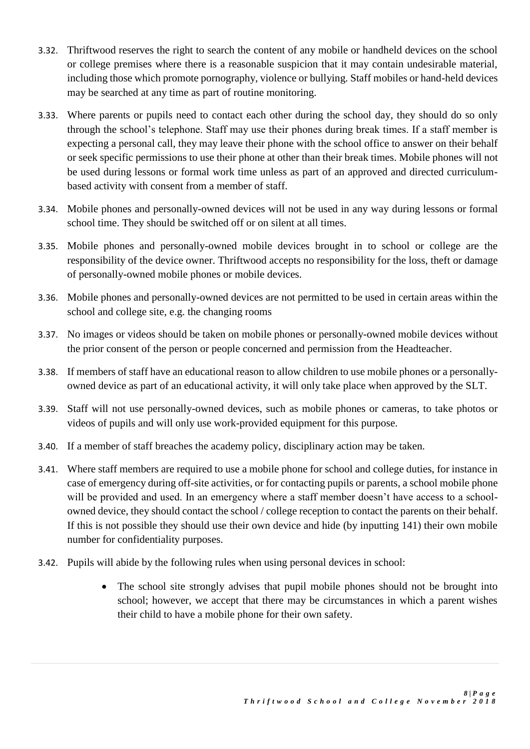- 3.32. Thriftwood reserves the right to search the content of any mobile or handheld devices on the school or college premises where there is a reasonable suspicion that it may contain undesirable material, including those which promote pornography, violence or bullying. Staff mobiles or hand-held devices may be searched at any time as part of routine monitoring.
- 3.33. Where parents or pupils need to contact each other during the school day, they should do so only through the school's telephone. Staff may use their phones during break times. If a staff member is expecting a personal call, they may leave their phone with the school office to answer on their behalf or seek specific permissions to use their phone at other than their break times. Mobile phones will not be used during lessons or formal work time unless as part of an approved and directed curriculumbased activity with consent from a member of staff.
- 3.34. Mobile phones and personally-owned devices will not be used in any way during lessons or formal school time. They should be switched off or on silent at all times.
- 3.35. Mobile phones and personally-owned mobile devices brought in to school or college are the responsibility of the device owner. Thriftwood accepts no responsibility for the loss, theft or damage of personally-owned mobile phones or mobile devices.
- 3.36. Mobile phones and personally-owned devices are not permitted to be used in certain areas within the school and college site, e.g. the changing rooms
- 3.37. No images or videos should be taken on mobile phones or personally-owned mobile devices without the prior consent of the person or people concerned and permission from the Headteacher.
- 3.38. If members of staff have an educational reason to allow children to use mobile phones or a personallyowned device as part of an educational activity, it will only take place when approved by the SLT.
- 3.39. Staff will not use personally-owned devices, such as mobile phones or cameras, to take photos or videos of pupils and will only use work-provided equipment for this purpose.
- 3.40. If a member of staff breaches the academy policy, disciplinary action may be taken.
- 3.41. Where staff members are required to use a mobile phone for school and college duties, for instance in case of emergency during off-site activities, or for contacting pupils or parents, a school mobile phone will be provided and used. In an emergency where a staff member doesn't have access to a schoolowned device, they should contact the school / college reception to contact the parents on their behalf. If this is not possible they should use their own device and hide (by inputting 141) their own mobile number for confidentiality purposes.
- 3.42. Pupils will abide by the following rules when using personal devices in school:
	- The school site strongly advises that pupil mobile phones should not be brought into school; however, we accept that there may be circumstances in which a parent wishes their child to have a mobile phone for their own safety.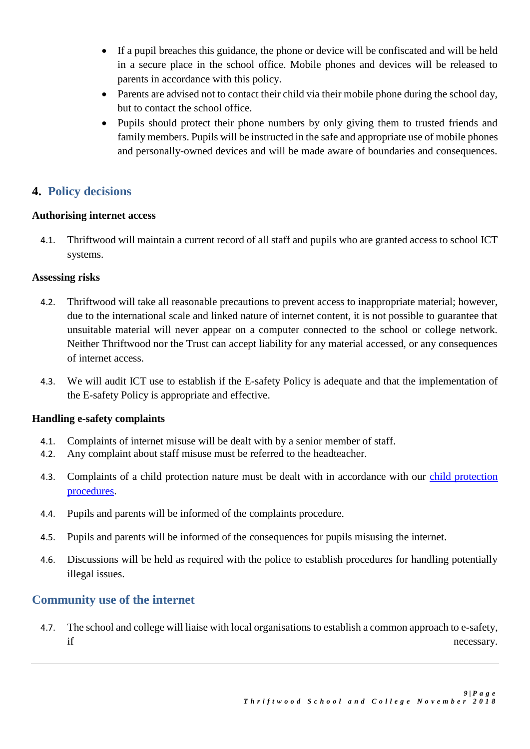- If a pupil breaches this guidance, the phone or device will be confiscated and will be held in a secure place in the school office. Mobile phones and devices will be released to parents in accordance with this policy.
- Parents are advised not to contact their child via their mobile phone during the school day, but to contact the school office.
- Pupils should protect their phone numbers by only giving them to trusted friends and family members. Pupils will be instructed in the safe and appropriate use of mobile phones and personally-owned devices and will be made aware of boundaries and consequences.

# **4. Policy decisions**

### **Authorising internet access**

4.1. Thriftwood will maintain a current record of all staff and pupils who are granted access to school ICT systems.

### **Assessing risks**

- 4.2. Thriftwood will take all reasonable precautions to prevent access to inappropriate material; however, due to the international scale and linked nature of internet content, it is not possible to guarantee that unsuitable material will never appear on a computer connected to the school or college network. Neither Thriftwood nor the Trust can accept liability for any material accessed, or any consequences of internet access.
- 4.3. We will audit ICT use to establish if the E-safety Policy is adequate and that the implementation of the E-safety Policy is appropriate and effective.

## **Handling e-safety complaints**

- 4.1. Complaints of internet misuse will be dealt with by a senior member of staff.
- 4.2. Any complaint about staff misuse must be referred to the headteacher.
- 4.3. Complaints of a child protection nature must be dealt with in accordance with our child protection procedures.
- 4.4. Pupils and parents will be informed of the complaints procedure.
- 4.5. Pupils and parents will be informed of the consequences for pupils misusing the internet.
- 4.6. Discussions will be held as required with the police to establish procedures for handling potentially illegal issues.

# **Community use of the internet**

4.7. The school and college will liaise with local organisations to establish a common approach to e-safety, if necessary.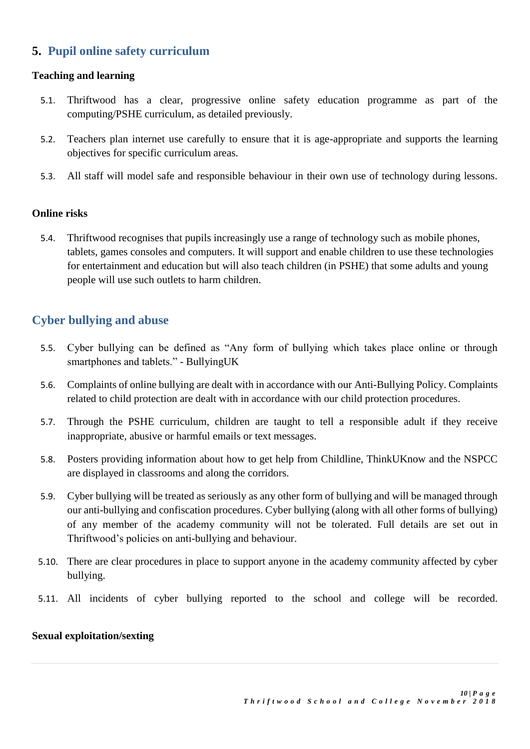# **5. Pupil online safety curriculum**

#### **Teaching and learning**

- 5.1. Thriftwood has a clear, progressive online safety education programme as part of the computing/PSHE curriculum, as detailed previously.
- 5.2. Teachers plan internet use carefully to ensure that it is age-appropriate and supports the learning objectives for specific curriculum areas.
- 5.3. All staff will model safe and responsible behaviour in their own use of technology during lessons.

#### **Online risks**

5.4. Thriftwood recognises that pupils increasingly use a range of technology such as mobile phones, tablets, games consoles and computers. It will support and enable children to use these technologies for entertainment and education but will also teach children (in PSHE) that some adults and young people will use such outlets to harm children.

# **Cyber bullying and abuse**

- 5.5. Cyber bullying can be defined as "Any form of bullying which takes place online or through smartphones and tablets." - BullyingUK
- 5.6. Complaints of online bullying are dealt with in accordance with our Anti-Bullying Policy. Complaints related to child protection are dealt with in accordance with our child protection procedures.
- 5.7. Through the PSHE curriculum, children are taught to tell a responsible adult if they receive inappropriate, abusive or harmful emails or text messages.
- 5.8. Posters providing information about how to get help from Childline, ThinkUKnow and the NSPCC are displayed in classrooms and along the corridors.
- 5.9. Cyber bullying will be treated as seriously as any other form of bullying and will be managed through our anti-bullying and confiscation procedures. Cyber bullying (along with all other forms of bullying) of any member of the academy community will not be tolerated. Full details are set out in Thriftwood's policies on anti-bullying and behaviour.
- 5.10. There are clear procedures in place to support anyone in the academy community affected by cyber bullying.
- 5.11. All incidents of cyber bullying reported to the school and college will be recorded.

#### **Sexual exploitation/sexting**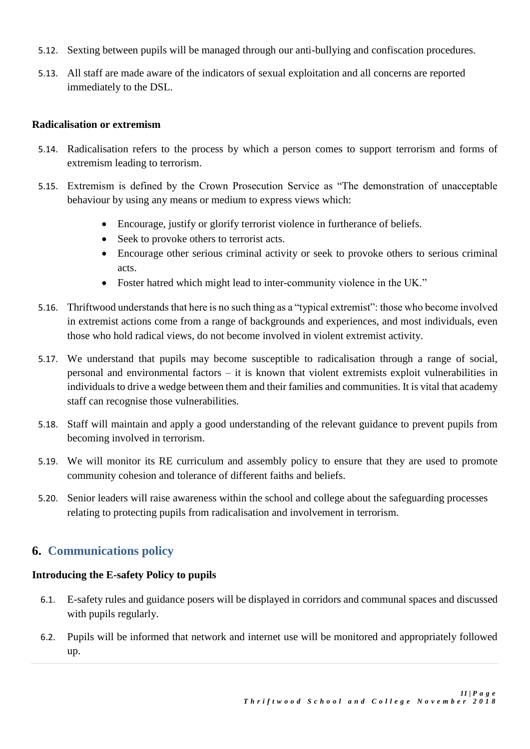- 5.12. Sexting between pupils will be managed through our anti-bullying and confiscation procedures.
- 5.13. All staff are made aware of the indicators of sexual exploitation and all concerns are reported immediately to the DSL.

#### **Radicalisation or extremism**

- 5.14. Radicalisation refers to the process by which a person comes to support terrorism and forms of extremism leading to terrorism.
- 5.15. Extremism is defined by the Crown Prosecution Service as "The demonstration of unacceptable behaviour by using any means or medium to express views which:
	- Encourage, justify or glorify terrorist violence in furtherance of beliefs.
	- Seek to provoke others to terrorist acts.
	- Encourage other serious criminal activity or seek to provoke others to serious criminal acts.
	- Foster hatred which might lead to inter-community violence in the UK."
- 5.16. Thriftwood understands that here is no such thing as a "typical extremist": those who become involved in extremist actions come from a range of backgrounds and experiences, and most individuals, even those who hold radical views, do not become involved in violent extremist activity.
- 5.17. We understand that pupils may become susceptible to radicalisation through a range of social, personal and environmental factors – it is known that violent extremists exploit vulnerabilities in individuals to drive a wedge between them and their families and communities. It is vital that academy staff can recognise those vulnerabilities.
- 5.18. Staff will maintain and apply a good understanding of the relevant guidance to prevent pupils from becoming involved in terrorism.
- 5.19. We will monitor its RE curriculum and assembly policy to ensure that they are used to promote community cohesion and tolerance of different faiths and beliefs.
- 5.20. Senior leaders will raise awareness within the school and college about the safeguarding processes relating to protecting pupils from radicalisation and involvement in terrorism.

# **6. Communications policy**

#### **Introducing the E-safety Policy to pupils**

- 6.1. E-safety rules and guidance posers will be displayed in corridors and communal spaces and discussed with pupils regularly.
- 6.2. Pupils will be informed that network and internet use will be monitored and appropriately followed up.